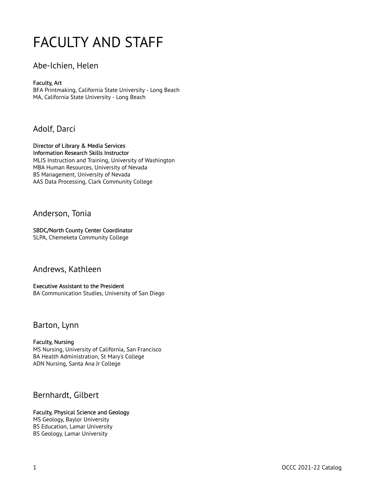# FACULTY AND STAFF

### Abe-Ichien, Helen

#### Faculty, Art

BFA Printmaking, California State University - Long Beach MA, California State University - Long Beach

# Adolf, Darci

Director of Library & Media Services Information Research Skills Instructor MLIS Instruction and Training, University of Washington MBA Human Resources, University of Nevada BS Management, University of Nevada AAS Data Processing, Clark Community College

### Anderson, Tonia

#### SBDC/North County Center Coordinator

SLPA, Chemeketa Community College

### Andrews, Kathleen

#### Executive Assistant to the President

BA Communication Studies, University of San Diego

### Barton, Lynn

#### Faculty, Nursing MS Nursing, University of California, San Francisco BA Health Administration, St Mary's College ADN Nursing, Santa Ana Jr College

# Bernhardt, Gilbert

#### Faculty, Physical Science and Geology MS Geology, Baylor University BS Education, Lamar University BS Geology, Lamar University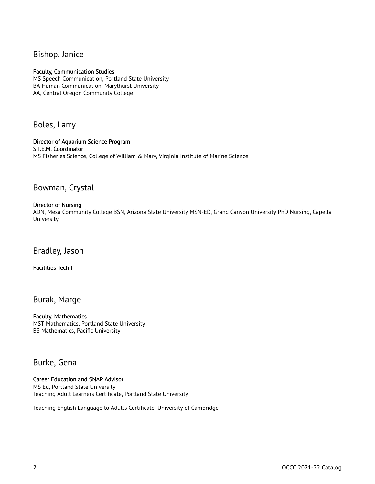### Bishop, Janice

#### Faculty, Communication Studies

MS Speech Communication, Portland State University BA Human Communication, Marylhurst University AA, Central Oregon Community College

Boles, Larry

Director of Aquarium Science Program S.T.E.M. Coordinator MS Fisheries Science, College of William & Mary, Virginia Institute of Marine Science

### Bowman, Crystal

#### Director of Nursing

ADN, Mesa Community College BSN, Arizona State University MSN-ED, Grand Canyon University PhD Nursing, Capella University

Bradley, Jason

Facilities Tech I

Burak, Marge

Faculty, Mathematics MST Mathematics, Portland State University BS Mathematics, Pacific University

### Burke, Gena

Career Education and SNAP Advisor MS Ed, Portland State University Teaching Adult Learners Certificate, Portland State University

Teaching English Language to Adults Certificate, University of Cambridge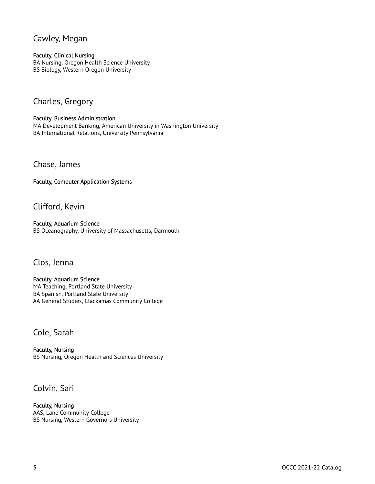### Cawley, Megan

#### Faculty, Clinical Nursing

BA Nursing, Oregon Health Science University BS Biology, Western Oregon University

# Charles, Gregory

Faculty, Business Administration MA Development Banking, American University in Washington University BA International Relations, University Pennsylvania

Chase, James

Faculty, Computer Application Systems

Clifford, Kevin

Faculty, Aquarium Science BS Oceanography, University of Massachusetts, Darmouth

#### Clos, Jenna

Faculty, Aquarium Science MA Teaching, Portland State University BA Spanish, Portland State University AA General Studies, Clackamas Community College

### Cole, Sarah

Faculty, Nursing BS Nursing, Oregon Health and Sciences University

# Colvin, Sari

Faculty, Nursing AAS, Lane Community College BS Nursing, Western Governors University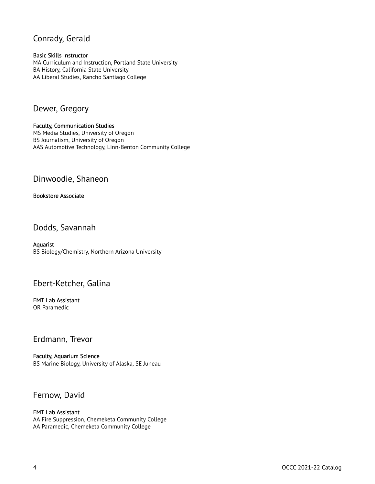# Conrady, Gerald

Basic Skills Instructor MA Curriculum and Instruction, Portland State University BA History, California State University AA Liberal Studies, Rancho Santiago College

# Dewer, Gregory

Faculty, Communication Studies MS Media Studies, University of Oregon BS Journalism, University of Oregon AAS Automotive Technology, Linn-Benton Community College

### Dinwoodie, Shaneon

#### Bookstore Associate

Dodds, Savannah

Aquarist BS Biology/Chemistry, Northern Arizona University

# Ebert-Ketcher, Galina

EMT Lab Assistant OR Paramedic

#### Erdmann, Trevor

Faculty, Aquarium Science BS Marine Biology, University of Alaska, SE Juneau

### Fernow, David

#### EMT Lab Assistant AA Fire Suppression, Chemeketa Community College AA Paramedic, Chemeketa Community College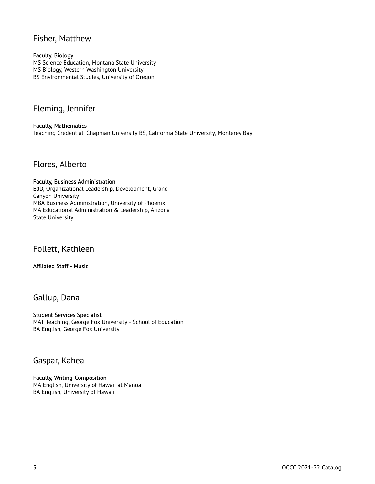### Fisher, Matthew

#### Faculty, Biology

MS Science Education, Montana State University MS Biology, Western Washington University BS Environmental Studies, University of Oregon

# Fleming, Jennifer

Faculty, Mathematics Teaching Credential, Chapman University BS, California State University, Monterey Bay

### Flores, Alberto

#### Faculty, Business Administration EdD, Organizational Leadership, Development, Grand Canyon University MBA Business Administration, University of Phoenix MA Educational Administration & Leadership, Arizona State University

Follett, Kathleen

#### Affliated Staff - Music

### Gallup, Dana

#### Student Services Specialist MAT Teaching, George Fox University - School of Education BA English, George Fox University

# Gaspar, Kahea

Faculty, Writing-Composition MA English, University of Hawaii at Manoa BA English, University of Hawaii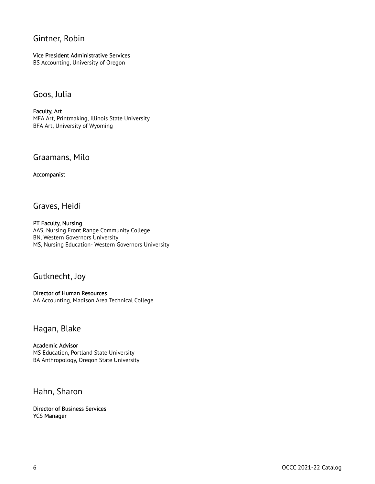# Gintner, Robin

Vice President Administrative Services BS Accounting, University of Oregon

### Goos, Julia

Faculty, Art MFA Art, Printmaking, Illinois State University BFA Art, University of Wyoming

### Graamans, Milo

Accompanist

Graves, Heidi

PT Faculty, Nursing AAS, Nursing Front Range Community College BN, Western Governors University MS, Nursing Education- Western Governors University

### Gutknecht, Joy

Director of Human Resources AA Accounting, Madison Area Technical College

### Hagan, Blake

Academic Advisor MS Education, Portland State University BA Anthropology, Oregon State University

Hahn, Sharon

Director of Business Services YCS Manager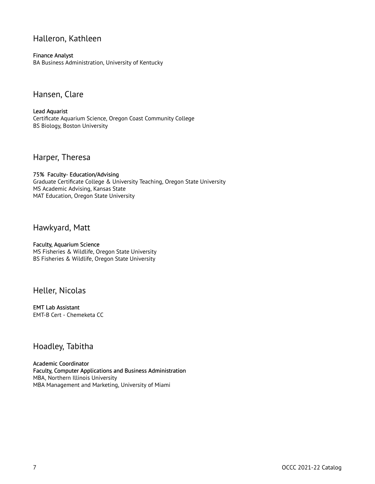# Halleron, Kathleen

Finance Analyst

BA Business Administration, University of Kentucky

Hansen, Clare

Lead Aquarist Certificate Aquarium Science, Oregon Coast Community College BS Biology, Boston University

Harper, Theresa

75% Faculty- Education/Advising Graduate Certificate College & University Teaching, Oregon State University MS Academic Advising, Kansas State MAT Education, Oregon State University

Hawkyard, Matt

Faculty, Aquarium Science MS Fisheries & Wildlife, Oregon State University BS Fisheries & Wildlife, Oregon State University

Heller, Nicolas

EMT Lab Assistant EMT-B Cert - Chemeketa CC

# Hoadley, Tabitha

Academic Coordinator Faculty, Computer Applications and Business Administration MBA, Northern Illinois University MBA Management and Marketing, University of Miami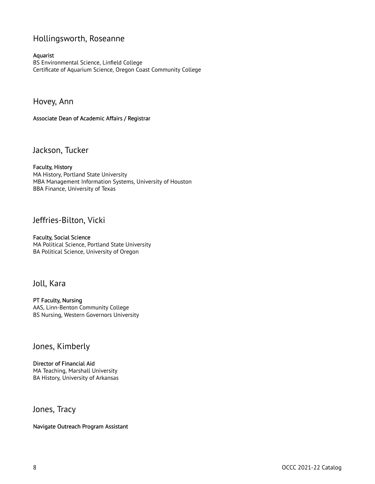# Hollingsworth, Roseanne

#### Aquarist

BS Environmental Science, Linfield College Certificate of Aquarium Science, Oregon Coast Community College

Hovey, Ann

#### Associate Dean of Academic Affairs / Registrar

Jackson, Tucker

Faculty, History MA History, Portland State University MBA Management Information Systems, University of Houston BBA Finance, University of Texas

#### Jeffries-Bilton, Vicki

Faculty, Social Science MA Political Science, Portland State University BA Political Science, University of Oregon

# Joll, Kara

PT Faculty, Nursing AAS, Linn-Benton Community College BS Nursing, Western Governors University

#### Jones, Kimberly

Director of Financial Aid MA Teaching, Marshall University BA History, University of Arkansas

Jones, Tracy

Navigate Outreach Program Assistant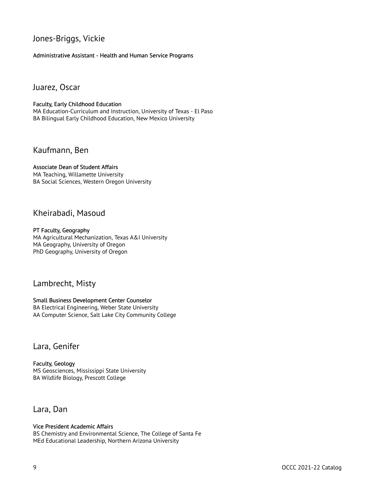# Jones-Briggs, Vickie

Administrative Assistant - Health and Human Service Programs

Juarez, Oscar

#### Faculty, Early Childhood Education

MA Education-Curriculum and Instruction, University of Texas - El Paso BA Bilingual Early Childhood Education, New Mexico University

Kaufmann, Ben

#### Associate Dean of Student Affairs

MA Teaching, Willamette University BA Social Sciences, Western Oregon University

### Kheirabadi, Masoud

#### PT Faculty, Geography

MA Agricultural Mechanization, Texas A&I University MA Geography, University of Oregon PhD Geography, University of Oregon

### Lambrecht, Misty

#### Small Business Development Center Counselor

BA Electrical Engineering, Weber State University AA Computer Science, Salt Lake City Community College

#### Lara, Genifer

Faculty, Geology MS Geosciences, Mississippi State University BA Wildlife Biology, Prescott College

#### Lara, Dan

#### Vice President Academic Affairs

BS Chemistry and Environmental Science, The College of Santa Fe MEd Educational Leadership, Northern Arizona University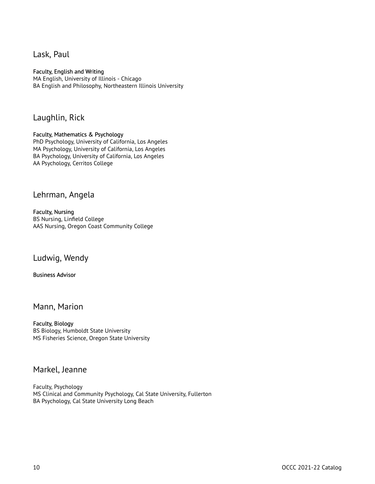Lask, Paul

#### Faculty, English and Writing

MA English, University of Illinois - Chicago BA English and Philosophy, Northeastern Illinois University

#### Laughlin, Rick

#### Faculty, Mathematics & Psychology

PhD Psychology, University of California, Los Angeles MA Psychology, University of California, Los Angeles BA Psychology, University of California, Los Angeles AA Psychology, Cerritos College

#### Lehrman, Angela

Faculty, Nursing BS Nursing, Linfield College AAS Nursing, Oregon Coast Community College

#### Ludwig, Wendy

#### Business Advisor

#### Mann, Marion

#### Faculty, Biology

BS Biology, Humboldt State University MS Fisheries Science, Oregon State University

#### Markel, Jeanne

Faculty, Psychology MS Clinical and Community Psychology, Cal State University, Fullerton BA Psychology, Cal State University Long Beach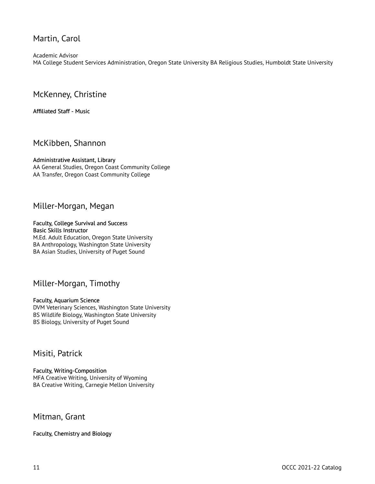# Martin, Carol

Academic Advisor MA College Student Services Administration, Oregon State University BA Religious Studies, Humboldt State University

### McKenney, Christine

#### Affiliated Staff - Music

#### McKibben, Shannon

#### Administrative Assistant, Library

AA General Studies, Oregon Coast Community College AA Transfer, Oregon Coast Community College

### Miller-Morgan, Megan

#### Faculty, College Survival and Success Basic Skills Instructor

M.Ed. Adult Education, Oregon State University BA Anthropology, Washington State University BA Asian Studies, University of Puget Sound

### Miller-Morgan, Timothy

#### Faculty, Aquarium Science

DVM Veterinary Sciences, Washington State University BS Wildlife Biology, Washington State University BS Biology, University of Puget Sound

### Misiti, Patrick

#### Faculty, Writing-Composition MFA Creative Writing, University of Wyoming BA Creative Writing, Carnegie Mellon University

#### Mitman, Grant

#### Faculty, Chemistry and Biology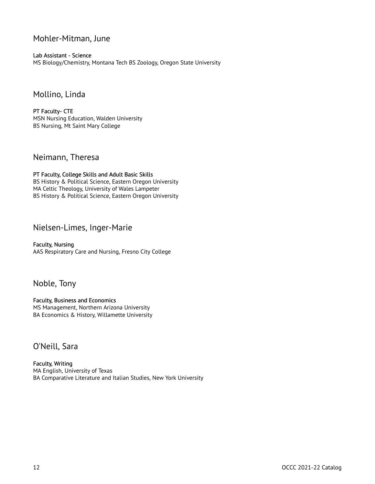# Mohler-Mitman, June

Lab Assistant - Science MS Biology/Chemistry, Montana Tech BS Zoology, Oregon State University

### Mollino, Linda

PT Faculty- CTE MSN Nursing Education, Walden University BS Nursing, Mt Saint Mary College

## Neimann, Theresa

PT Faculty, College Skills and Adult Basic Skills BS History & Political Science, Eastern Oregon University MA Celtic Theology, University of Wales Lampeter BS History & Political Science, Eastern Oregon University

### Nielsen-Limes, Inger-Marie

Faculty, Nursing AAS Respiratory Care and Nursing, Fresno City College

### Noble, Tony

Faculty, Business and Economics MS Management, Northern Arizona University BA Economics & History, Willamette University

### O'Neill, Sara

Faculty, Writing MA English, University of Texas BA Comparative Literature and Italian Studies, New York University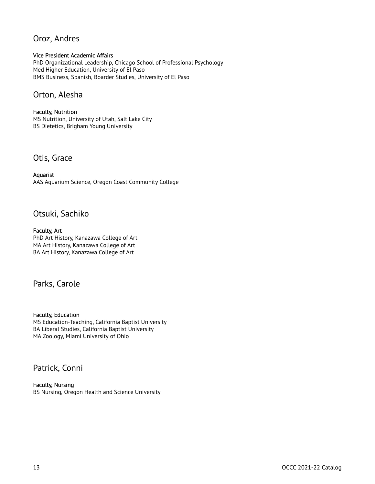# Oroz, Andres

#### Vice President Academic Affairs

PhD Organizational Leadership, Chicago School of Professional Psychology Med Higher Education, University of El Paso BMS Business, Spanish, Boarder Studies, University of El Paso

### Orton, Alesha

Faculty, Nutrition MS Nutrition, University of Utah, Salt Lake City BS Dietetics, Brigham Young University

Otis, Grace

Aquarist AAS Aquarium Science, Oregon Coast Community College

### Otsuki, Sachiko

Faculty, Art PhD Art History, Kanazawa College of Art MA Art History, Kanazawa College of Art BA Art History, Kanazawa College of Art

### Parks, Carole

Faculty, Education MS Education-Teaching, California Baptist University BA Liberal Studies, California Baptist University MA Zoology, Miami University of Ohio

# Patrick, Conni

Faculty, Nursing BS Nursing, Oregon Health and Science University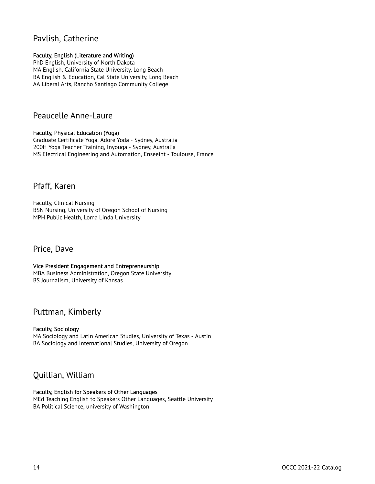# Pavlish, Catherine

#### Faculty, English (Literature and Writing)

PhD English, University of North Dakota MA English, California State University, Long Beach BA English & Education, Cal State University, Long Beach AA Liberal Arts, Rancho Santiago Community College

### Peaucelle Anne-Laure

#### Faculty, Physical Education (Yoga)

Graduate Certificate Yoga, Adore Yoda - Sydney, Australia 200H Yoga Teacher Training, Inyouga - Sydney, Australia MS Electrical Engineering and Automation, Enseeiht - Toulouse, France

### Pfaff, Karen

Faculty, Clinical Nursing BSN Nursing, University of Oregon School of Nursing MPH Public Health, Loma Linda University

# Price, Dave

#### Vice President Engagement and Entrepreneurship MBA Business Administration, Oregon State University BS Journalism, University of Kansas

### Puttman, Kimberly

#### Faculty, Sociology MA Sociology and Latin American Studies, University of Texas - Austin BA Sociology and International Studies, University of Oregon

# Quillian, William

#### Faculty, English for Speakers of Other Languages

MEd Teaching English to Speakers Other Languages, Seattle University BA Political Science, university of Washington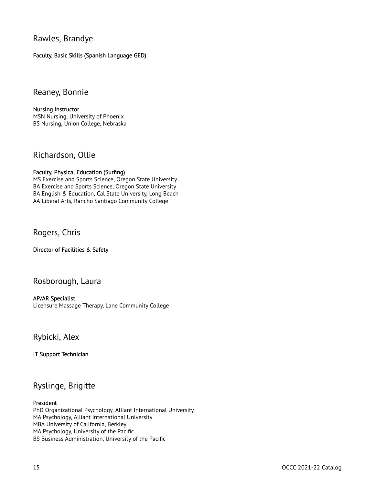Rawles, Brandye

Faculty, Basic Skills (Spanish Language GED)

### Reaney, Bonnie

Nursing Instructor MSN Nursing, University of Phoenix BS Nursing, Union College, Nebraska

# Richardson, Ollie

#### Faculty, Physical Education (Surfing)

MS Exercise and Sports Science, Oregon State University BA Exercise and Sports Science, Oregon State University BA English & Education, Cal State University, Long Beach AA Liberal Arts, Rancho Santiago Community College

# Rogers, Chris

Director of Facilities & Safety

# Rosborough, Laura

AP/AR Specialist Licensure Massage Therapy, Lane Community College

### Rybicki, Alex

IT Support Technician

# Ryslinge, Brigitte

#### President

PhD Organizational Psychology, Alliant International University MA Psychology, Alliant International University MBA University of California, Berkley MA Psychology, University of the Pacific BS Business Administration, University of the Pacific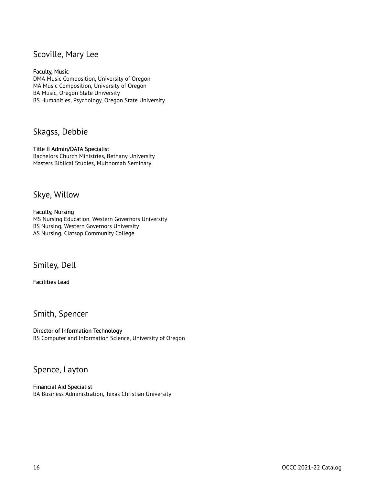# Scoville, Mary Lee

#### Faculty, Music

DMA Music Composition, University of Oregon MA Music Composition, University of Oregon BA Music, Oregon State University BS Humanities, Psychology, Oregon State University

### Skagss, Debbie

#### Title II Admin/DATA Specialist

Bachelors Church Ministries, Bethany University Masters Biblical Studies, Multnomah Seminary

### Skye, Willow

#### Faculty, Nursing

MS Nursing Education, Western Governors University BS Nursing, Western Governors University AS Nursing, Clatsop Community College

### Smiley, Dell

Facilities Lead

# Smith, Spencer

Director of Information Technology BS Computer and Information Science, University of Oregon

# Spence, Layton

Financial Aid Specialist BA Business Administration, Texas Christian University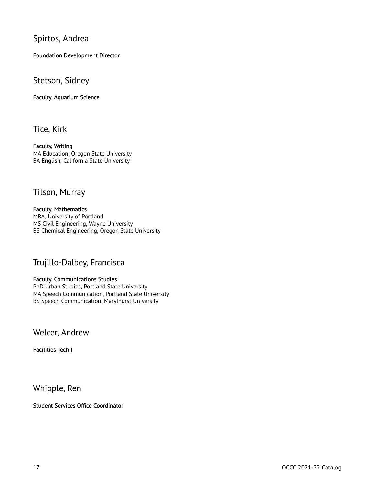# Spirtos, Andrea

Foundation Development Director

#### Stetson, Sidney

Faculty, Aquarium Science

Tice, Kirk

Faculty, Writing MA Education, Oregon State University BA English, California State University

### Tilson, Murray

Faculty, Mathematics MBA, University of Portland MS Civil Engineering, Wayne University BS Chemical Engineering, Oregon State University

### Trujillo-Dalbey, Francisca

Faculty, Communications Studies PhD Urban Studies, Portland State University MA Speech Communication, Portland State University BS Speech Communication, Marylhurst University

Welcer, Andrew

Facilities Tech I

Whipple, Ren

Student Services Office Coordinator